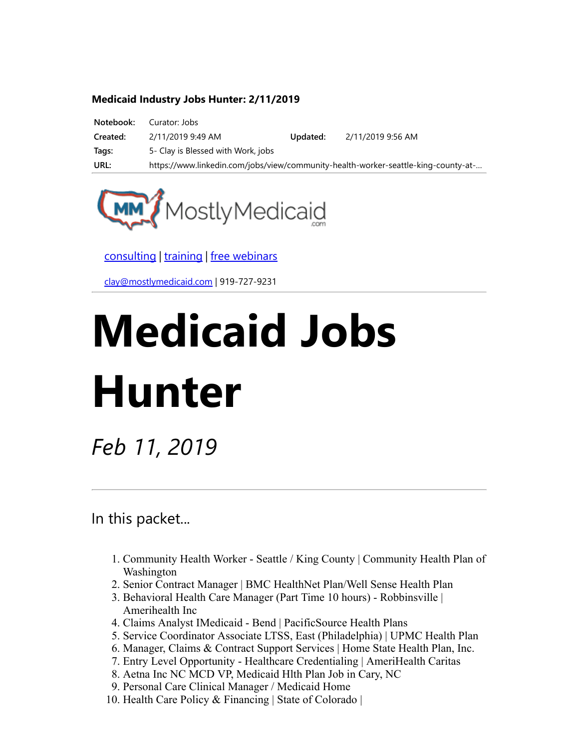#### Medicaid Industry Jobs Hunter: 2/11/2019

| Notebook: | Curator: Jobs                      |          |                                                                                    |
|-----------|------------------------------------|----------|------------------------------------------------------------------------------------|
| Created:  | 2/11/2019 9:49 AM                  | Updated: | 2/11/2019 9:56 AM                                                                  |
| Tags:     | 5- Clay is Blessed with Work, jobs |          |                                                                                    |
| URL:      |                                    |          | https://www.linkedin.com/jobs/view/community-health-worker-seattle-king-county-at- |



[consulting](http://bit.ly/2L815p0) | [training](http://bit.ly/2zL1l4r) | [free webinars](http://bit.ly/2ccl593) 

[clay@mostlymedicaid.com](mailto:clay@mostlymedicaid.com) | 919-727-9231

# Medicaid Jobs Hunter

Feb 11, 2019

In this packet...

- 1. Community Health Worker Seattle / King County | Community Health Plan of Washington
- 2. Senior Contract Manager | BMC HealthNet Plan/Well Sense Health Plan
- 3. Behavioral Health Care Manager (Part Time 10 hours) Robbinsville | Amerihealth Inc
- 4. Claims Analyst IMedicaid Bend | PacificSource Health Plans
- 5. Service Coordinator Associate LTSS, East (Philadelphia) | UPMC Health Plan
- 6. Manager, Claims & Contract Support Services | Home State Health Plan, Inc.
- 7. Entry Level Opportunity Healthcare Credentialing | AmeriHealth Caritas
- 8. Aetna Inc NC MCD VP, Medicaid Hlth Plan Job in Cary, NC
- 9. Personal Care Clinical Manager / Medicaid Home
- 10. Health Care Policy & Financing | State of Colorado |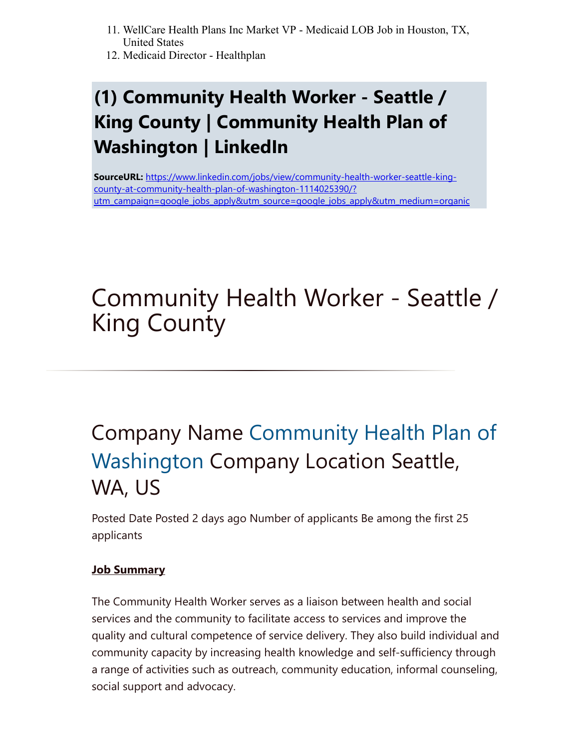- 11. WellCare Health Plans Inc Market VP Medicaid LOB Job in Houston, TX, United States
- 12. Medicaid Director Healthplan

### (1) Community Health Worker - Seattle / King County | Community Health Plan of Washington | LinkedIn

SourceURL: https://www.linkedin.com/jobs/view/community-health-worker-seattle-kingcounty-at-community-health-plan-of-washington-1114025390/? [utm\\_campaign=google\\_jobs\\_apply&utm\\_source=google\\_jobs\\_apply&utm\\_medium=organic](https://www.linkedin.com/jobs/view/community-health-worker-seattle-king-county-at-community-health-plan-of-washington-1114025390/?utm_campaign=google_jobs_apply&utm_source=google_jobs_apply&utm_medium=organic)

# Community Health Worker - Seattle / King County

# Company Name [Community Health Plan of](https://www.linkedin.com/company/30497/) Washington Company Location Seattle, WA, US

Posted Date Posted 2 days ago Number of applicants Be among the first 25 applicants

### **Job Summary**

The Community Health Worker serves as a liaison between health and social services and the community to facilitate access to services and improve the quality and cultural competence of service delivery. They also build individual and community capacity by increasing health knowledge and self-sufficiency through a range of activities such as outreach, community education, informal counseling, social support and advocacy.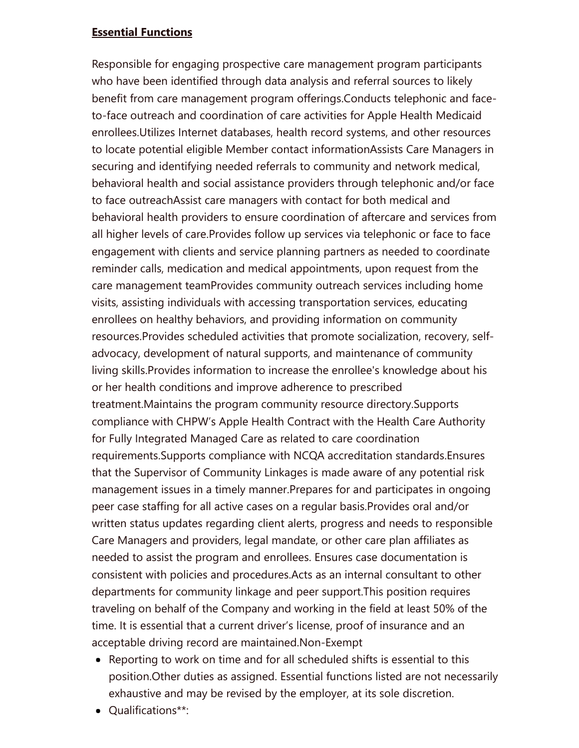#### Essential Functions

Responsible for engaging prospective care management program participants who have been identified through data analysis and referral sources to likely benefit from care management program offerings.Conducts telephonic and faceto-face outreach and coordination of care activities for Apple Health Medicaid enrollees.Utilizes Internet databases, health record systems, and other resources to locate potential eligible Member contact informationAssists Care Managers in securing and identifying needed referrals to community and network medical, behavioral health and social assistance providers through telephonic and/or face to face outreachAssist care managers with contact for both medical and behavioral health providers to ensure coordination of aftercare and services from all higher levels of care.Provides follow up services via telephonic or face to face engagement with clients and service planning partners as needed to coordinate reminder calls, medication and medical appointments, upon request from the care management teamProvides community outreach services including home visits, assisting individuals with accessing transportation services, educating enrollees on healthy behaviors, and providing information on community resources.Provides scheduled activities that promote socialization, recovery, selfadvocacy, development of natural supports, and maintenance of community living skills.Provides information to increase the enrollee's knowledge about his or her health conditions and improve adherence to prescribed treatment.Maintains the program community resource directory.Supports compliance with CHPW's Apple Health Contract with the Health Care Authority for Fully Integrated Managed Care as related to care coordination requirements.Supports compliance with NCQA accreditation standards.Ensures that the Supervisor of Community Linkages is made aware of any potential risk management issues in a timely manner.Prepares for and participates in ongoing peer case staffing for all active cases on a regular basis.Provides oral and/or written status updates regarding client alerts, progress and needs to responsible Care Managers and providers, legal mandate, or other care plan affiliates as needed to assist the program and enrollees. Ensures case documentation is consistent with policies and procedures.Acts as an internal consultant to other departments for community linkage and peer support.This position requires traveling on behalf of the Company and working in the field at least 50% of the time. It is essential that a current driver's license, proof of insurance and an acceptable driving record are maintained.Non-Exempt

- Reporting to work on time and for all scheduled shifts is essential to this position.Other duties as assigned. Essential functions listed are not necessarily exhaustive and may be revised by the employer, at its sole discretion.
- Qualifications\*\*: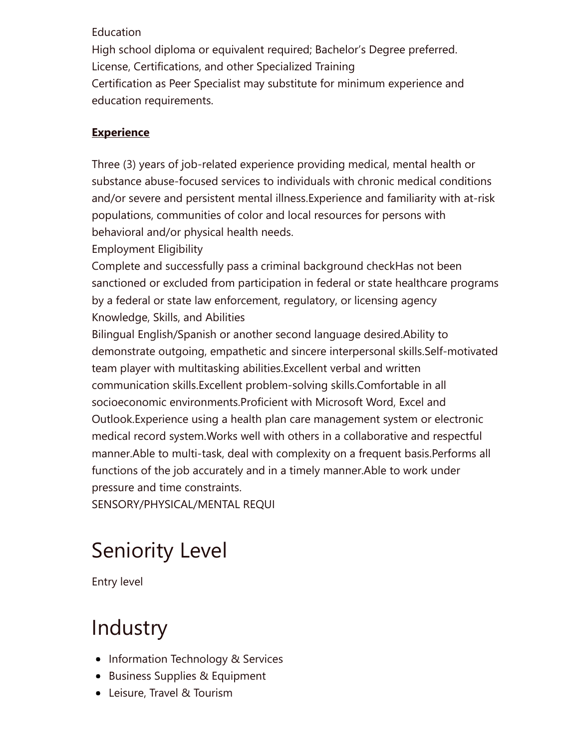#### Education

High school diploma or equivalent required; Bachelor's Degree preferred. License, Certifications, and other Specialized Training Certification as Peer Specialist may substitute for minimum experience and education requirements.

### Experience

Three (3) years of job-related experience providing medical, mental health or substance abuse-focused services to individuals with chronic medical conditions and/or severe and persistent mental illness.Experience and familiarity with at-risk populations, communities of color and local resources for persons with behavioral and/or physical health needs.

Employment Eligibility

Complete and successfully pass a criminal background checkHas not been sanctioned or excluded from participation in federal or state healthcare programs by a federal or state law enforcement, regulatory, or licensing agency Knowledge, Skills, and Abilities

Bilingual English/Spanish or another second language desired.Ability to demonstrate outgoing, empathetic and sincere interpersonal skills.Self-motivated team player with multitasking abilities.Excellent verbal and written communication skills.Excellent problem-solving skills.Comfortable in all socioeconomic environments.Proficient with Microsoft Word, Excel and Outlook.Experience using a health plan care management system or electronic medical record system.Works well with others in a collaborative and respectful manner.Able to multi-task, deal with complexity on a frequent basis.Performs all functions of the job accurately and in a timely manner.Able to work under pressure and time constraints.

SENSORY/PHYSICAL/MENTAL REQUI

# Seniority Level

Entry level

### **Industry**

- Information Technology & Services
- Business Supplies & Equipment
- Leisure, Travel & Tourism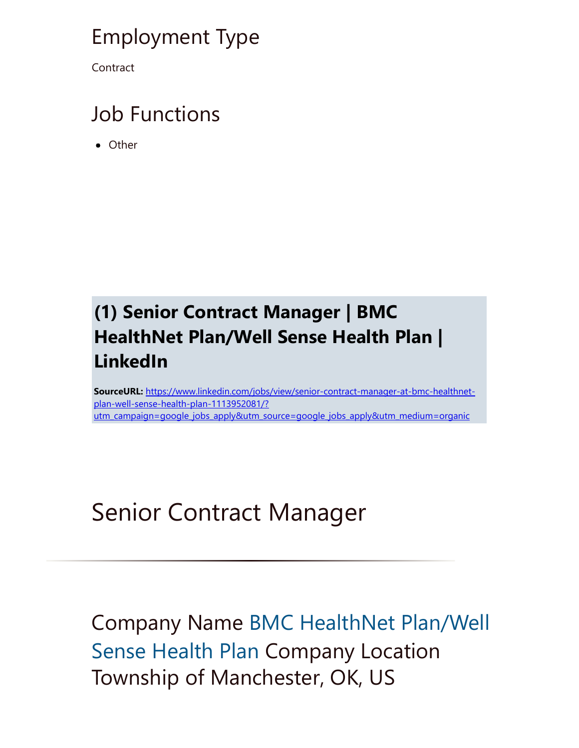### Employment Type

**Contract** 

### Job Functions

Other

### (1) Senior Contract Manager | BMC HealthNet Plan/Well Sense Health Plan | LinkedIn

SourceURL: https://www.linkedin.com/jobs/view/senior-contract-manager-at-bmc-healthnetplan-well-sense-health-plan-1113952081/? [utm\\_campaign=google\\_jobs\\_apply&utm\\_source=google\\_jobs\\_apply&utm\\_medium=organic](https://www.linkedin.com/jobs/view/senior-contract-manager-at-bmc-healthnet-plan-well-sense-health-plan-1113952081/?utm_campaign=google_jobs_apply&utm_source=google_jobs_apply&utm_medium=organic)

# Senior Contract Manager

Company Name [BMC HealthNet Plan/Well](https://www.linkedin.com/company/30537/) Sense Health Plan Company Location Township of Manchester, OK, US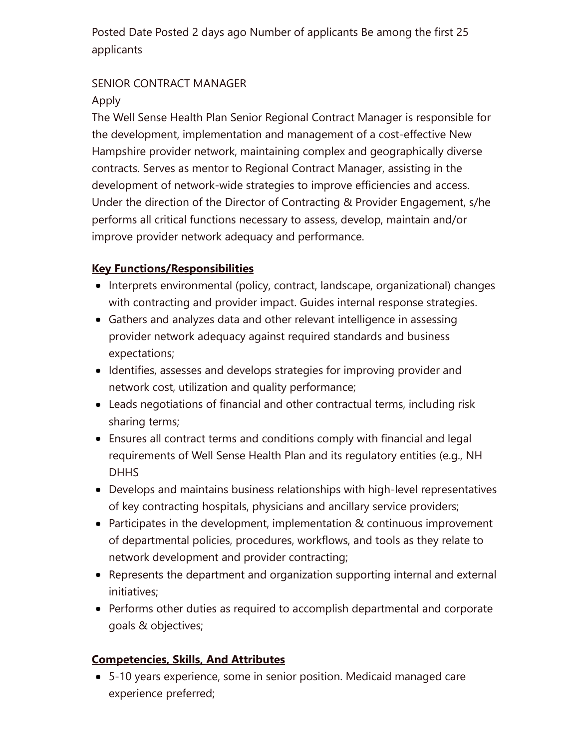Posted Date Posted 2 days ago Number of applicants Be among the first 25 applicants

### SENIOR CONTRACT MANAGER

### Apply

The Well Sense Health Plan Senior Regional Contract Manager is responsible for the development, implementation and management of a cost-effective New Hampshire provider network, maintaining complex and geographically diverse contracts. Serves as mentor to Regional Contract Manager, assisting in the development of network-wide strategies to improve efficiencies and access. Under the direction of the Director of Contracting & Provider Engagement, s/he performs all critical functions necessary to assess, develop, maintain and/or improve provider network adequacy and performance.

### Key Functions/Responsibilities

- Interprets environmental (policy, contract, landscape, organizational) changes with contracting and provider impact. Guides internal response strategies.
- Gathers and analyzes data and other relevant intelligence in assessing provider network adequacy against required standards and business expectations;
- Identifies, assesses and develops strategies for improving provider and network cost, utilization and quality performance;
- Leads negotiations of financial and other contractual terms, including risk sharing terms;
- Ensures all contract terms and conditions comply with financial and legal requirements of Well Sense Health Plan and its regulatory entities (e.g., NH **DHHS**
- Develops and maintains business relationships with high-level representatives of key contracting hospitals, physicians and ancillary service providers;
- Participates in the development, implementation & continuous improvement of departmental policies, procedures, workflows, and tools as they relate to network development and provider contracting;
- Represents the department and organization supporting internal and external initiatives;
- Performs other duties as required to accomplish departmental and corporate goals & objectives;

### Competencies, Skills, And Attributes

5-10 years experience, some in senior position. Medicaid managed care experience preferred;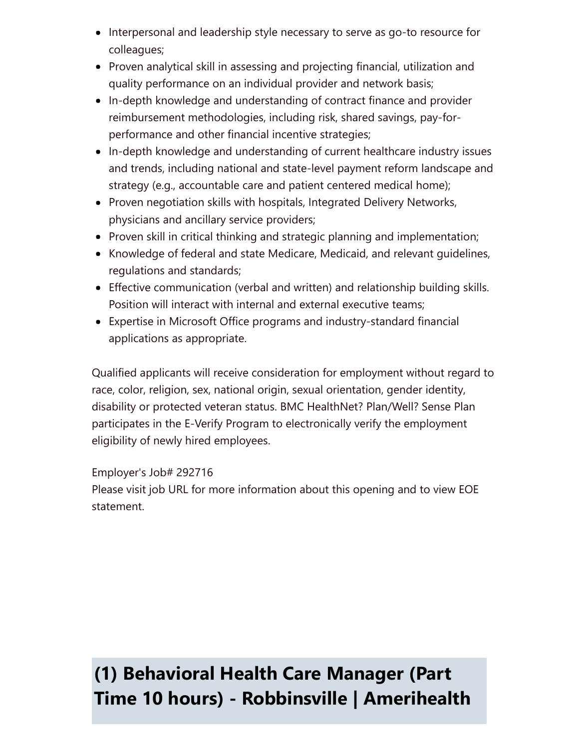- Interpersonal and leadership style necessary to serve as go-to resource for colleagues;
- Proven analytical skill in assessing and projecting financial, utilization and quality performance on an individual provider and network basis;
- In-depth knowledge and understanding of contract finance and provider reimbursement methodologies, including risk, shared savings, pay-forperformance and other financial incentive strategies;
- In-depth knowledge and understanding of current healthcare industry issues and trends, including national and state-level payment reform landscape and strategy (e.g., accountable care and patient centered medical home);
- Proven negotiation skills with hospitals, Integrated Delivery Networks, physicians and ancillary service providers;
- Proven skill in critical thinking and strategic planning and implementation;
- Knowledge of federal and state Medicare, Medicaid, and relevant guidelines, regulations and standards;
- Effective communication (verbal and written) and relationship building skills. Position will interact with internal and external executive teams;
- Expertise in Microsoft Office programs and industry-standard financial applications as appropriate.

Qualified applicants will receive consideration for employment without regard to race, color, religion, sex, national origin, sexual orientation, gender identity, disability or protected veteran status. BMC HealthNet? Plan/Well? Sense Plan participates in the E-Verify Program to electronically verify the employment eligibility of newly hired employees.

### Employer's Job# 292716

Please visit job URL for more information about this opening and to view EOE statement.

### (1) Behavioral Health Care Manager (Part Time 10 hours) - Robbinsville | Amerihealth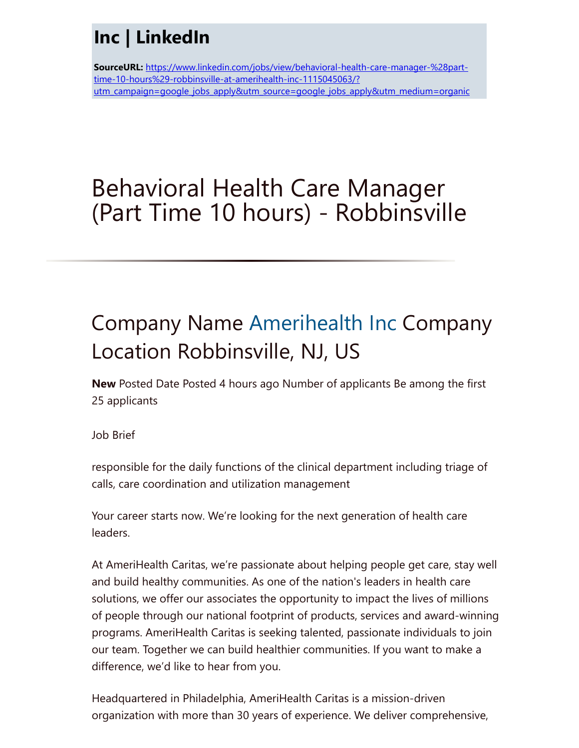### Inc | LinkedIn

SourceURL: https://www.linkedin.com/jobs/view/behavioral-health-care-manager-%28parttime-10-hours%29-robbinsville-at-amerihealth-inc-1115045063/? [utm\\_campaign=google\\_jobs\\_apply&utm\\_source=google\\_jobs\\_apply&utm\\_medium=organic](https://www.linkedin.com/jobs/view/behavioral-health-care-manager-%28part-time-10-hours%29-robbinsville-at-amerihealth-inc-1115045063/?utm_campaign=google_jobs_apply&utm_source=google_jobs_apply&utm_medium=organic)

# Behavioral Health Care Manager (Part Time 10 hours) - Robbinsville

# Company Name [Amerihealth Inc](https://www.linkedin.com/company/4757913/) Company Location Robbinsville, NJ, US

New Posted Date Posted 4 hours ago Number of applicants Be among the first 25 applicants

Job Brief

responsible for the daily functions of the clinical department including triage of calls, care coordination and utilization management

Your career starts now. We're looking for the next generation of health care leaders.

At AmeriHealth Caritas, we're passionate about helping people get care, stay well and build healthy communities. As one of the nation's leaders in health care solutions, we offer our associates the opportunity to impact the lives of millions of people through our national footprint of products, services and award-winning programs. AmeriHealth Caritas is seeking talented, passionate individuals to join our team. Together we can build healthier communities. If you want to make a difference, we'd like to hear from you.

Headquartered in Philadelphia, AmeriHealth Caritas is a mission-driven organization with more than 30 years of experience. We deliver comprehensive,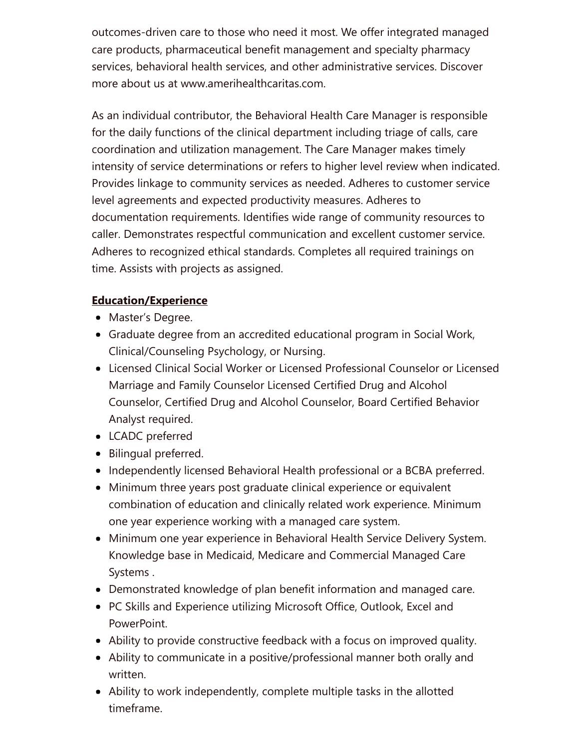outcomes-driven care to those who need it most. We offer integrated managed care products, pharmaceutical benefit management and specialty pharmacy services, behavioral health services, and other administrative services. Discover more about us at www.amerihealthcaritas.com.

As an individual contributor, the Behavioral Health Care Manager is responsible for the daily functions of the clinical department including triage of calls, care coordination and utilization management. The Care Manager makes timely intensity of service determinations or refers to higher level review when indicated. Provides linkage to community services as needed. Adheres to customer service level agreements and expected productivity measures. Adheres to documentation requirements. Identifies wide range of community resources to caller. Demonstrates respectful communication and excellent customer service. Adheres to recognized ethical standards. Completes all required trainings on time. Assists with projects as assigned.

#### Education/Experience

- Master's Degree.
- Graduate degree from an accredited educational program in Social Work, Clinical/Counseling Psychology, or Nursing.
- Licensed Clinical Social Worker or Licensed Professional Counselor or Licensed Marriage and Family Counselor Licensed Certified Drug and Alcohol Counselor, Certified Drug and Alcohol Counselor, Board Certified Behavior Analyst required.
- LCADC preferred
- Bilingual preferred.
- Independently licensed Behavioral Health professional or a BCBA preferred.
- Minimum three years post graduate clinical experience or equivalent combination of education and clinically related work experience. Minimum one year experience working with a managed care system.
- Minimum one year experience in Behavioral Health Service Delivery System. Knowledge base in Medicaid, Medicare and Commercial Managed Care Systems .
- Demonstrated knowledge of plan benefit information and managed care.
- PC Skills and Experience utilizing Microsoft Office, Outlook, Excel and PowerPoint.
- Ability to provide constructive feedback with a focus on improved quality.
- Ability to communicate in a positive/professional manner both orally and written.
- Ability to work independently, complete multiple tasks in the allotted timeframe.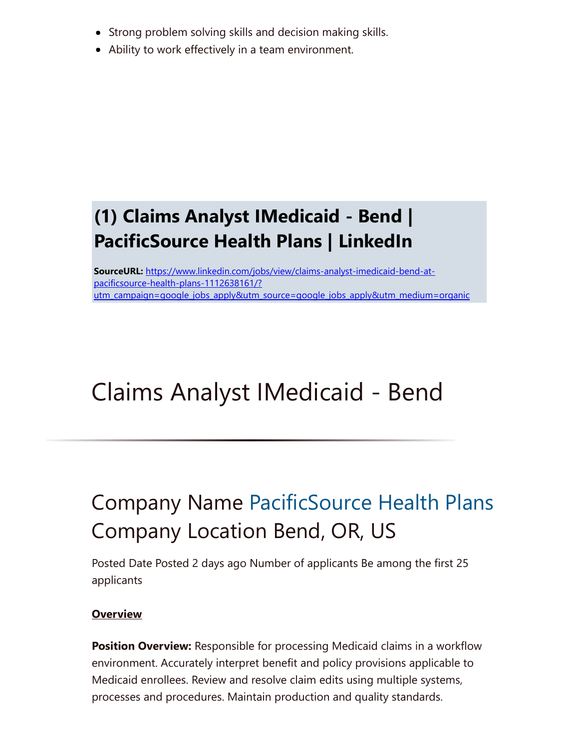- Strong problem solving skills and decision making skills.
- Ability to work effectively in a team environment.

### (1) Claims Analyst IMedicaid - Bend | PacificSource Health Plans | LinkedIn

SourceURL: https://www.linkedin.com/jobs/view/claims-analyst-imedicaid-bend-atpacificsource-health-plans-1112638161/? [utm\\_campaign=google\\_jobs\\_apply&utm\\_source=google\\_jobs\\_apply&utm\\_medium=organic](https://www.linkedin.com/jobs/view/claims-analyst-imedicaid-bend-at-pacificsource-health-plans-1112638161/?utm_campaign=google_jobs_apply&utm_source=google_jobs_apply&utm_medium=organic)

# Claims Analyst IMedicaid - Bend

# Company Name [PacificSource Health Plans](https://www.linkedin.com/company/56298/) Company Location Bend, OR, US

Posted Date Posted 2 days ago Number of applicants Be among the first 25 applicants

#### **Overview**

**Position Overview:** Responsible for processing Medicaid claims in a workflow environment. Accurately interpret benefit and policy provisions applicable to Medicaid enrollees. Review and resolve claim edits using multiple systems, processes and procedures. Maintain production and quality standards.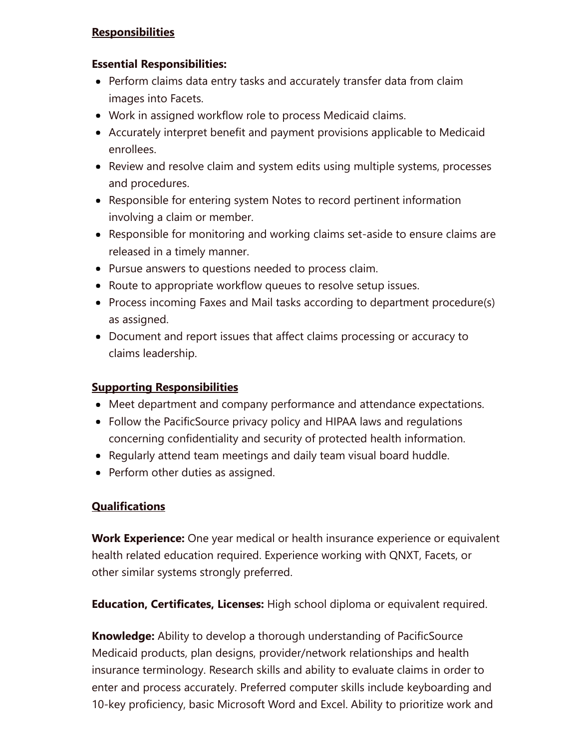#### **Responsibilities**

#### Essential Responsibilities:

- Perform claims data entry tasks and accurately transfer data from claim images into Facets.
- Work in assigned workflow role to process Medicaid claims.
- Accurately interpret benefit and payment provisions applicable to Medicaid enrollees.
- Review and resolve claim and system edits using multiple systems, processes and procedures.
- Responsible for entering system Notes to record pertinent information involving a claim or member.
- Responsible for monitoring and working claims set-aside to ensure claims are released in a timely manner.
- Pursue answers to questions needed to process claim.
- Route to appropriate workflow queues to resolve setup issues.
- Process incoming Faxes and Mail tasks according to department procedure(s) as assigned.
- Document and report issues that affect claims processing or accuracy to claims leadership.

#### Supporting Responsibilities

- Meet department and company performance and attendance expectations.
- Follow the PacificSource privacy policy and HIPAA laws and regulations concerning confidentiality and security of protected health information.
- Regularly attend team meetings and daily team visual board huddle.
- Perform other duties as assigned.

### **Qualifications**

**Work Experience:** One year medical or health insurance experience or equivalent health related education required. Experience working with QNXT, Facets, or other similar systems strongly preferred.

**Education, Certificates, Licenses:** High school diploma or equivalent required.

Knowledge: Ability to develop a thorough understanding of PacificSource Medicaid products, plan designs, provider/network relationships and health insurance terminology. Research skills and ability to evaluate claims in order to enter and process accurately. Preferred computer skills include keyboarding and 10-key proficiency, basic Microsoft Word and Excel. Ability to prioritize work and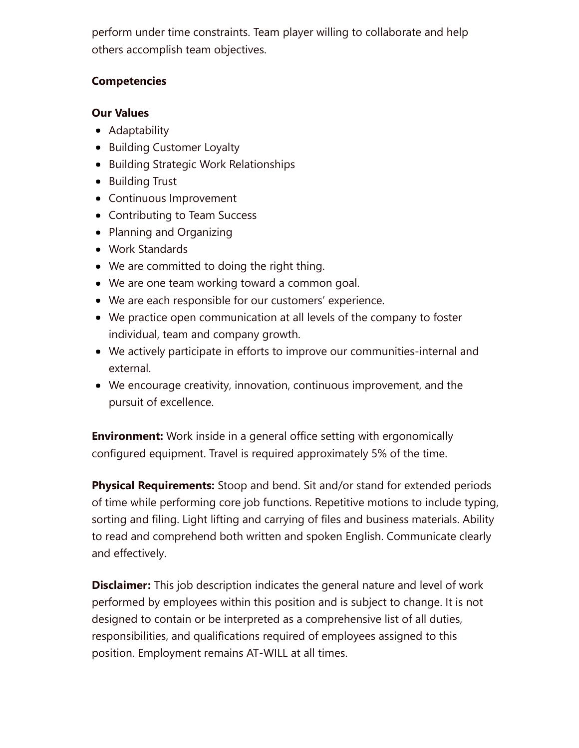perform under time constraints. Team player willing to collaborate and help others accomplish team objectives.

#### **Competencies**

#### Our Values

- Adaptability
- Building Customer Loyalty
- Building Strategic Work Relationships
- **•** Building Trust
- Continuous Improvement
- Contributing to Team Success
- Planning and Organizing
- Work Standards
- We are committed to doing the right thing.
- We are one team working toward a common goal.
- We are each responsible for our customers' experience.
- We practice open communication at all levels of the company to foster individual, team and company growth.
- We actively participate in efforts to improve our communities-internal and external.
- We encourage creativity, innovation, continuous improvement, and the pursuit of excellence.

**Environment:** Work inside in a general office setting with ergonomically configured equipment. Travel is required approximately 5% of the time.

**Physical Requirements:** Stoop and bend. Sit and/or stand for extended periods of time while performing core job functions. Repetitive motions to include typing, sorting and filing. Light lifting and carrying of files and business materials. Ability to read and comprehend both written and spoken English. Communicate clearly and effectively.

**Disclaimer:** This job description indicates the general nature and level of work performed by employees within this position and is subject to change. It is not designed to contain or be interpreted as a comprehensive list of all duties, responsibilities, and qualifications required of employees assigned to this position. Employment remains AT-WILL at all times.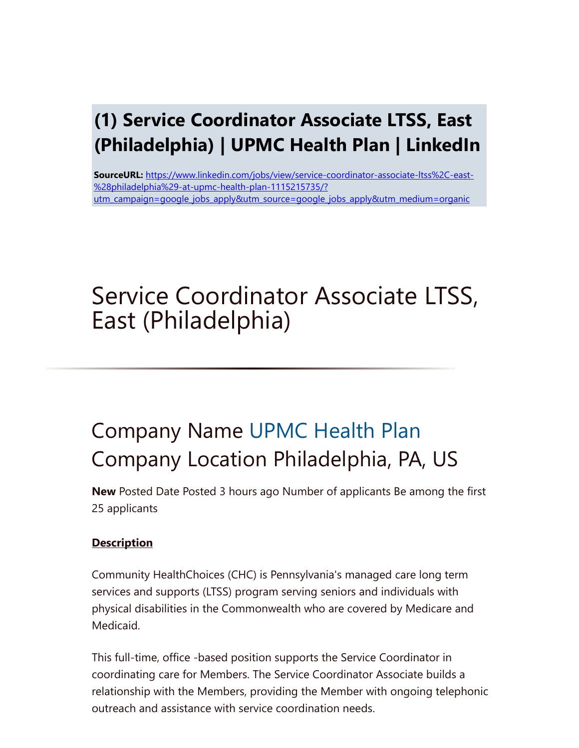### (1) Service Coordinator Associate LTSS, East (Philadelphia) | UPMC Health Plan | LinkedIn

SourceURL: https://www.linkedin.com/jobs/view/service-coordinator-associate-ltss%2C-east- %28philadelphia%29-at-upmc-health-plan-1115215735/? [utm\\_campaign=google\\_jobs\\_apply&utm\\_source=google\\_jobs\\_apply&utm\\_medium=organic](https://www.linkedin.com/jobs/view/service-coordinator-associate-ltss%2C-east-%28philadelphia%29-at-upmc-health-plan-1115215735/?utm_campaign=google_jobs_apply&utm_source=google_jobs_apply&utm_medium=organic)

# Service Coordinator Associate LTSS, East (Philadelphia)

### Company Name [UPMC Health Plan](https://www.linkedin.com/company/3462/) Company Location Philadelphia, PA, US

New Posted Date Posted 3 hours ago Number of applicants Be among the first 25 applicants

### **Description**

Community HealthChoices (CHC) is Pennsylvania's managed care long term services and supports (LTSS) program serving seniors and individuals with physical disabilities in the Commonwealth who are covered by Medicare and Medicaid.

This full-time, office -based position supports the Service Coordinator in coordinating care for Members. The Service Coordinator Associate builds a relationship with the Members, providing the Member with ongoing telephonic outreach and assistance with service coordination needs.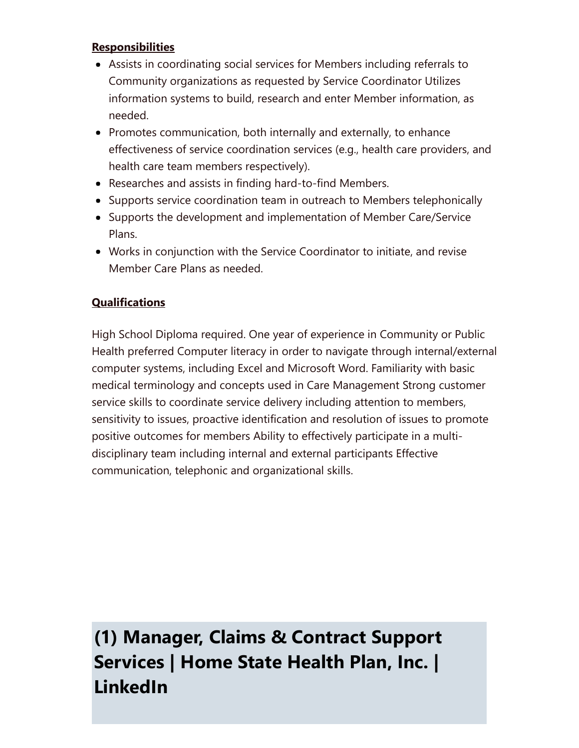#### **Responsibilities**

- Assists in coordinating social services for Members including referrals to Community organizations as requested by Service Coordinator Utilizes information systems to build, research and enter Member information, as needed.
- Promotes communication, both internally and externally, to enhance effectiveness of service coordination services (e.g., health care providers, and health care team members respectively).
- Researches and assists in finding hard-to-find Members.
- Supports service coordination team in outreach to Members telephonically
- Supports the development and implementation of Member Care/Service Plans.
- Works in conjunction with the Service Coordinator to initiate, and revise Member Care Plans as needed.

### **Qualifications**

High School Diploma required. One year of experience in Community or Public Health preferred Computer literacy in order to navigate through internal/external computer systems, including Excel and Microsoft Word. Familiarity with basic medical terminology and concepts used in Care Management Strong customer service skills to coordinate service delivery including attention to members, sensitivity to issues, proactive identification and resolution of issues to promote positive outcomes for members Ability to effectively participate in a multidisciplinary team including internal and external participants Effective communication, telephonic and organizational skills.

(1) Manager, Claims & Contract Support Services | Home State Health Plan, Inc. | LinkedIn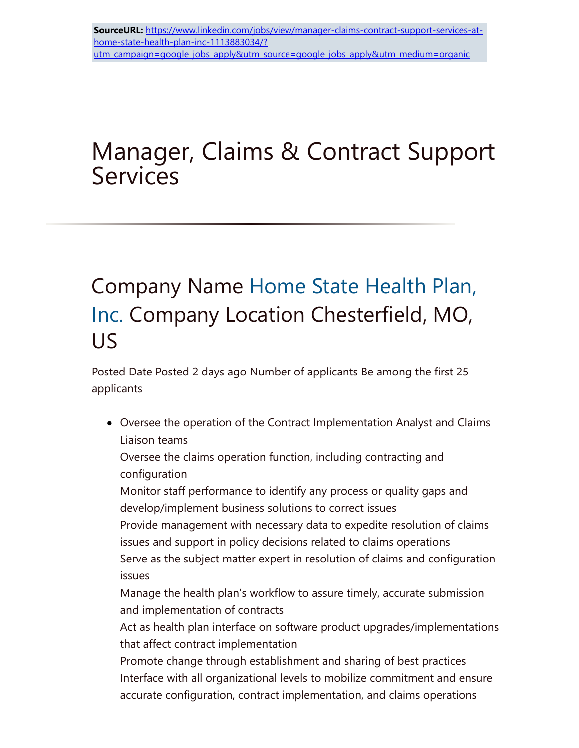# Manager, Claims & Contract Support **Services**

### Company Name Home State Health Plan, Inc. [Company Location Chesterfield, MO,](https://www.linkedin.com/company/8886078/) US

Posted Date Posted 2 days ago Number of applicants Be among the first 25 applicants

Oversee the operation of the Contract Implementation Analyst and Claims Liaison teams

Oversee the claims operation function, including contracting and configuration

Monitor staff performance to identify any process or quality gaps and develop/implement business solutions to correct issues

Provide management with necessary data to expedite resolution of claims issues and support in policy decisions related to claims operations Serve as the subject matter expert in resolution of claims and configuration

issues

Manage the health plan's workflow to assure timely, accurate submission and implementation of contracts

Act as health plan interface on software product upgrades/implementations that affect contract implementation

Promote change through establishment and sharing of best practices Interface with all organizational levels to mobilize commitment and ensure accurate configuration, contract implementation, and claims operations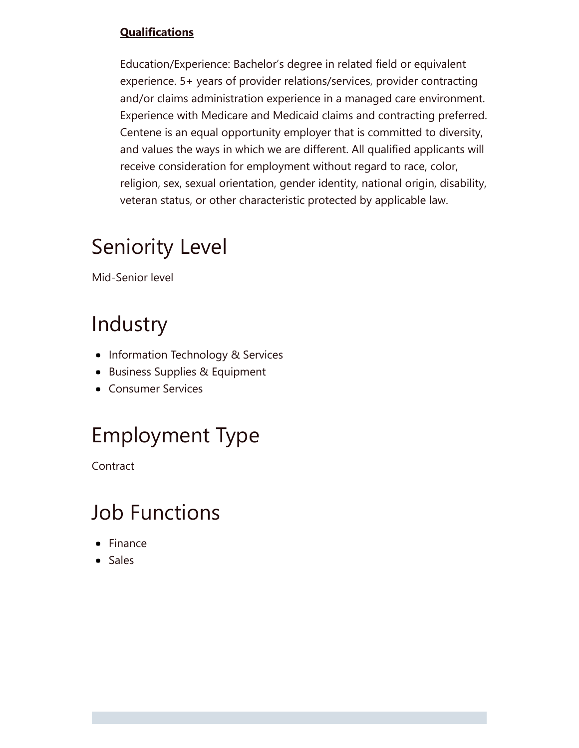### **Qualifications**

Education/Experience: Bachelor's degree in related field or equivalent experience. 5+ years of provider relations/services, provider contracting and/or claims administration experience in a managed care environment. Experience with Medicare and Medicaid claims and contracting preferred. Centene is an equal opportunity employer that is committed to diversity, and values the ways in which we are different. All qualified applicants will receive consideration for employment without regard to race, color, religion, sex, sexual orientation, gender identity, national origin, disability, veteran status, or other characteristic protected by applicable law.

### Seniority Level

Mid-Senior level

### Industry

- Information Technology & Services
- Business Supplies & Equipment
- Consumer Services

# Employment Type

Contract

### Job Functions

- Finance
- Sales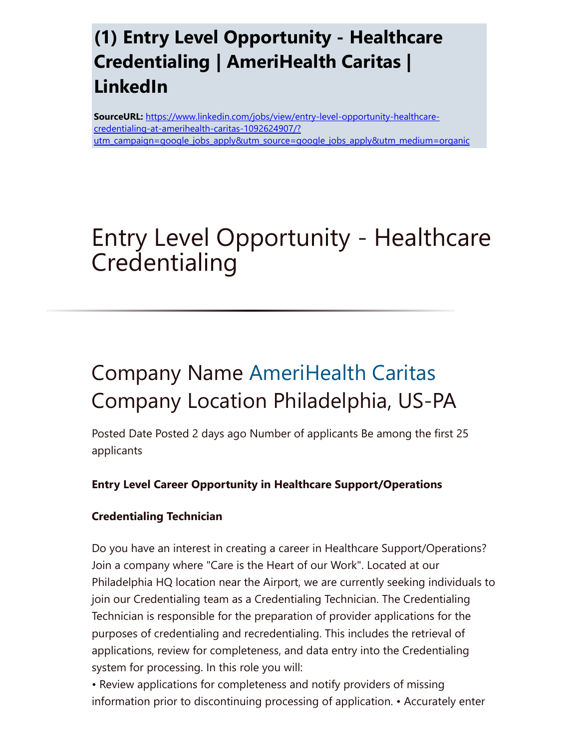### (1) Entry Level Opportunity - Healthcare Credentialing | AmeriHealth Caritas | LinkedIn

SourceURL: https://www.linkedin.com/jobs/view/entry-level-opportunity-healthcarecredentialing-at-amerihealth-caritas-1092624907/? [utm\\_campaign=google\\_jobs\\_apply&utm\\_source=google\\_jobs\\_apply&utm\\_medium=organic](https://www.linkedin.com/jobs/view/entry-level-opportunity-healthcare-credentialing-at-amerihealth-caritas-1092624907/?utm_campaign=google_jobs_apply&utm_source=google_jobs_apply&utm_medium=organic)

# Entry Level Opportunity - Healthcare **Credentialing**

# Company Name [AmeriHealth Caritas](https://www.linkedin.com/company/848248/) Company Location Philadelphia, US-PA

Posted Date Posted 2 days ago Number of applicants Be among the first 25 applicants

### Entry Level Career Opportunity in Healthcare Support/Operations

### Credentialing Technician

Do you have an interest in creating a career in Healthcare Support/Operations? Join a company where "Care is the Heart of our Work". Located at our Philadelphia HQ location near the Airport, we are currently seeking individuals to join our Credentialing team as a Credentialing Technician. The Credentialing Technician is responsible for the preparation of provider applications for the purposes of credentialing and recredentialing. This includes the retrieval of applications, review for completeness, and data entry into the Credentialing system for processing. In this role you will:

• Review applications for completeness and notify providers of missing information prior to discontinuing processing of application. • Accurately enter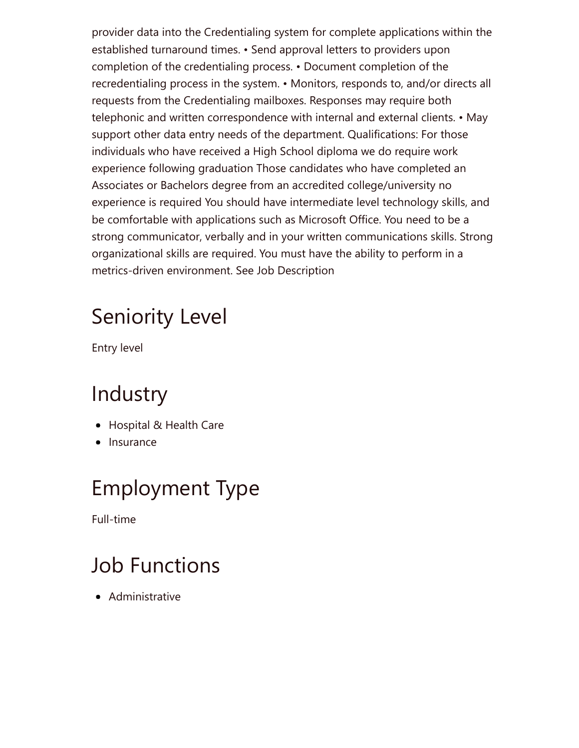provider data into the Credentialing system for complete applications within the established turnaround times. • Send approval letters to providers upon completion of the credentialing process. • Document completion of the recredentialing process in the system. • Monitors, responds to, and/or directs all requests from the Credentialing mailboxes. Responses may require both telephonic and written correspondence with internal and external clients. • May support other data entry needs of the department. Qualifications: For those individuals who have received a High School diploma we do require work experience following graduation Those candidates who have completed an Associates or Bachelors degree from an accredited college/university no experience is required You should have intermediate level technology skills, and be comfortable with applications such as Microsoft Office. You need to be a strong communicator, verbally and in your written communications skills. Strong organizational skills are required. You must have the ability to perform in a metrics-driven environment. See Job Description

# Seniority Level

Entry level

### Industry

- Hospital & Health Care
- Insurance

# Employment Type

Full-time

# Job Functions

• Administrative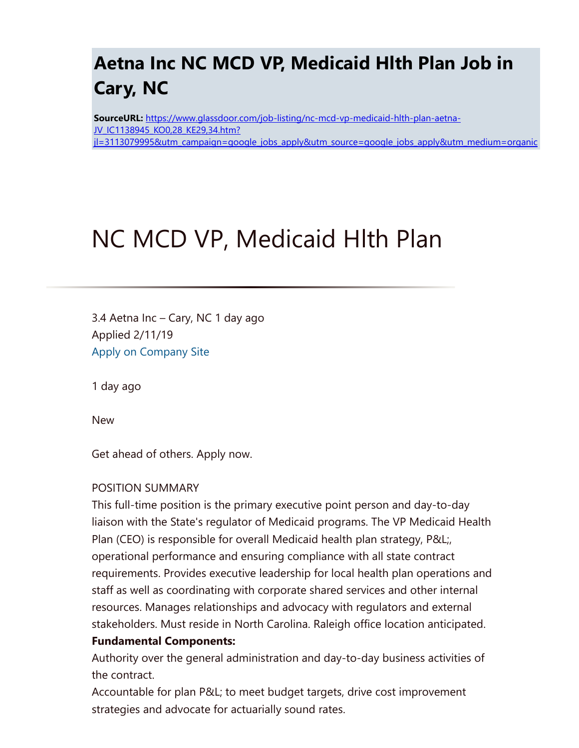### Aetna Inc NC MCD VP, Medicaid Hlth Plan Job in Cary, NC

SourceURL: https://www.glassdoor.com/job-listing/nc-mcd-vp-medicaid-hlth-plan-aetna-JV\_IC1138945\_KO0,28\_KE29,34.htm? [jl=3113079995&utm\\_campaign=google\\_jobs\\_apply&utm\\_source=google\\_jobs\\_apply&utm\\_medium=organic](https://www.glassdoor.com/job-listing/nc-mcd-vp-medicaid-hlth-plan-aetna-JV_IC1138945_KO0,28_KE29,34.htm?jl=3113079995&utm_campaign=google_jobs_apply&utm_source=google_jobs_apply&utm_medium=organic)

# NC MCD VP, Medicaid Hlth Plan

3.4 Aetna Inc – Cary, NC 1 day ago Applied 2/11/19 [Apply on Company Site](https://www.glassdoor.com/partner/jobListing.htm?pos=101&ao=4465&s=321&guid=00000168dd3ef84fbc9b163f00a12818&src=GD_JOB_VIEW&t=NS&vt=w&slr=true&cs=1_7bfce7d4&cb=1549900118125&jobListingId=3113079995)

1 day ago

New

Get ahead of others. Apply now.

#### POSITION SUMMARY

This full-time position is the primary executive point person and day-to-day liaison with the State's regulator of Medicaid programs. The VP Medicaid Health Plan (CEO) is responsible for overall Medicaid health plan strategy, P&L;, operational performance and ensuring compliance with all state contract requirements. Provides executive leadership for local health plan operations and staff as well as coordinating with corporate shared services and other internal resources. Manages relationships and advocacy with regulators and external stakeholders. Must reside in North Carolina. Raleigh office location anticipated.

#### Fundamental Components:

Authority over the general administration and day-to-day business activities of the contract.

Accountable for plan P&L; to meet budget targets, drive cost improvement strategies and advocate for actuarially sound rates.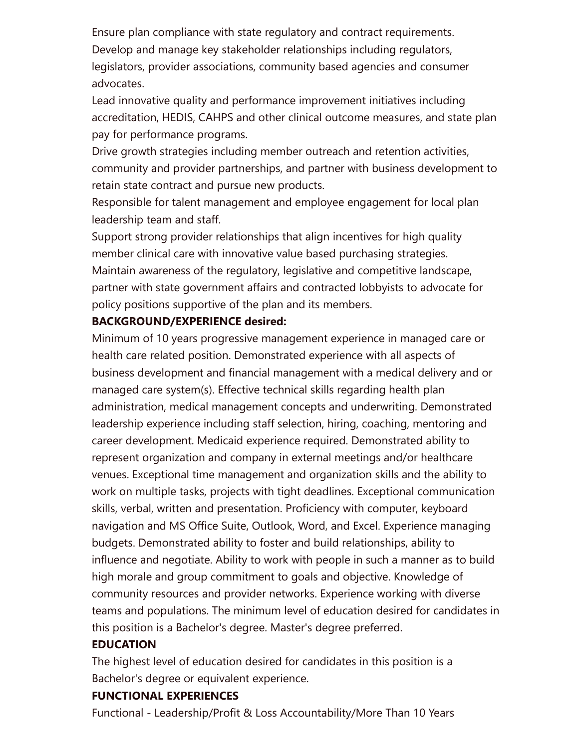Ensure plan compliance with state regulatory and contract requirements. Develop and manage key stakeholder relationships including regulators, legislators, provider associations, community based agencies and consumer advocates.

Lead innovative quality and performance improvement initiatives including accreditation, HEDIS, CAHPS and other clinical outcome measures, and state plan pay for performance programs.

Drive growth strategies including member outreach and retention activities, community and provider partnerships, and partner with business development to retain state contract and pursue new products.

Responsible for talent management and employee engagement for local plan leadership team and staff.

Support strong provider relationships that align incentives for high quality member clinical care with innovative value based purchasing strategies. Maintain awareness of the regulatory, legislative and competitive landscape, partner with state government affairs and contracted lobbyists to advocate for policy positions supportive of the plan and its members.

#### BACKGROUND/EXPERIENCE desired:

Minimum of 10 years progressive management experience in managed care or health care related position. Demonstrated experience with all aspects of business development and financial management with a medical delivery and or managed care system(s). Effective technical skills regarding health plan administration, medical management concepts and underwriting. Demonstrated leadership experience including staff selection, hiring, coaching, mentoring and career development. Medicaid experience required. Demonstrated ability to represent organization and company in external meetings and/or healthcare venues. Exceptional time management and organization skills and the ability to work on multiple tasks, projects with tight deadlines. Exceptional communication skills, verbal, written and presentation. Proficiency with computer, keyboard navigation and MS Office Suite, Outlook, Word, and Excel. Experience managing budgets. Demonstrated ability to foster and build relationships, ability to influence and negotiate. Ability to work with people in such a manner as to build high morale and group commitment to goals and objective. Knowledge of community resources and provider networks. Experience working with diverse teams and populations. The minimum level of education desired for candidates in this position is a Bachelor's degree. Master's degree preferred.

#### EDUCATION

The highest level of education desired for candidates in this position is a Bachelor's degree or equivalent experience.

#### FUNCTIONAL EXPERIENCES

Functional - Leadership/Profit & Loss Accountability/More Than 10 Years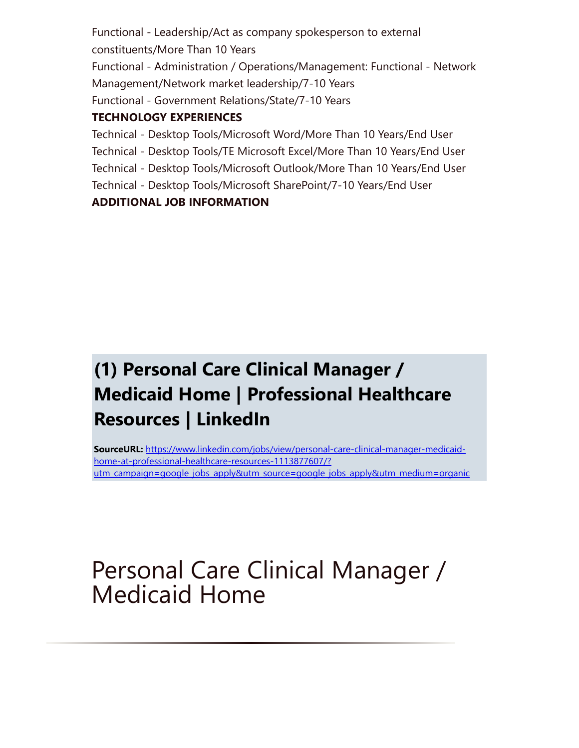Functional - Leadership/Act as company spokesperson to external constituents/More Than 10 Years Functional - Administration / Operations/Management: Functional - Network Management/Network market leadership/7-10 Years Functional - Government Relations/State/7-10 Years

### TECHNOLOGY EXPERIENCES

Technical - Desktop Tools/Microsoft Word/More Than 10 Years/End User Technical - Desktop Tools/TE Microsoft Excel/More Than 10 Years/End User Technical - Desktop Tools/Microsoft Outlook/More Than 10 Years/End User Technical - Desktop Tools/Microsoft SharePoint/7-10 Years/End User ADDITIONAL JOB INFORMATION

### (1) Personal Care Clinical Manager / Medicaid Home | Professional Healthcare Resources | LinkedIn

SourceURL: https://www.linkedin.com/jobs/view/personal-care-clinical-manager-medicaidhome-at-professional-healthcare-resources-1113877607/? [utm\\_campaign=google\\_jobs\\_apply&utm\\_source=google\\_jobs\\_apply&utm\\_medium=organic](https://www.linkedin.com/jobs/view/personal-care-clinical-manager-medicaid-home-at-professional-healthcare-resources-1113877607/?utm_campaign=google_jobs_apply&utm_source=google_jobs_apply&utm_medium=organic)

# Personal Care Clinical Manager / Medicaid Home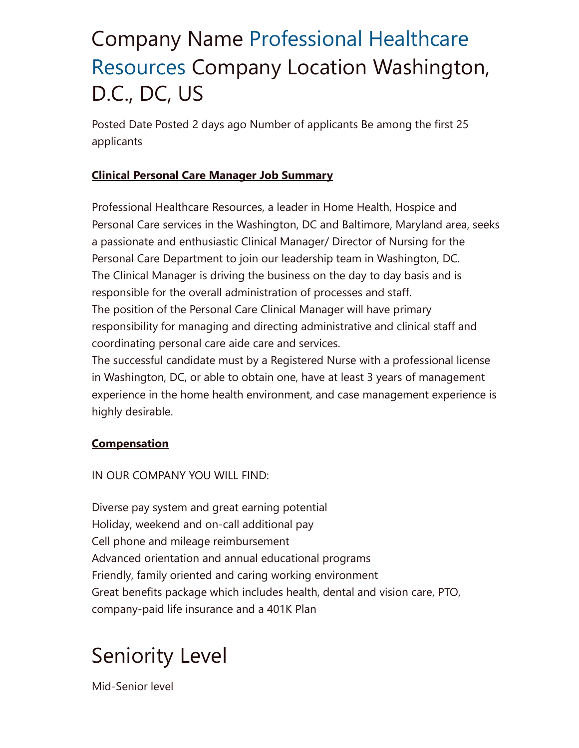# Company Name Professional Healthcare Resources [Company Location Washingto](https://www.linkedin.com/company/121791/)n, D.C., DC, US

Posted Date Posted 2 days ago Number of applicants Be among the first 25 applicants

### Clinical Personal Care Manager Job Summary

Professional Healthcare Resources, a leader in Home Health, Hospice and Personal Care services in the Washington, DC and Baltimore, Maryland area, seeks a passionate and enthusiastic Clinical Manager/ Director of Nursing for the Personal Care Department to join our leadership team in Washington, DC. The Clinical Manager is driving the business on the day to day basis and is responsible for the overall administration of processes and staff. The position of the Personal Care Clinical Manager will have primary responsibility for managing and directing administrative and clinical staff and coordinating personal care aide care and services.

The successful candidate must by a Registered Nurse with a professional license in Washington, DC, or able to obtain one, have at least 3 years of management experience in the home health environment, and case management experience is highly desirable.

### **Compensation**

IN OUR COMPANY YOU WILL FIND:

Diverse pay system and great earning potential Holiday, weekend and on-call additional pay Cell phone and mileage reimbursement Advanced orientation and annual educational programs Friendly, family oriented and caring working environment Great benefits package which includes health, dental and vision care, PTO, company-paid life insurance and a 401K Plan

### Seniority Level

Mid-Senior level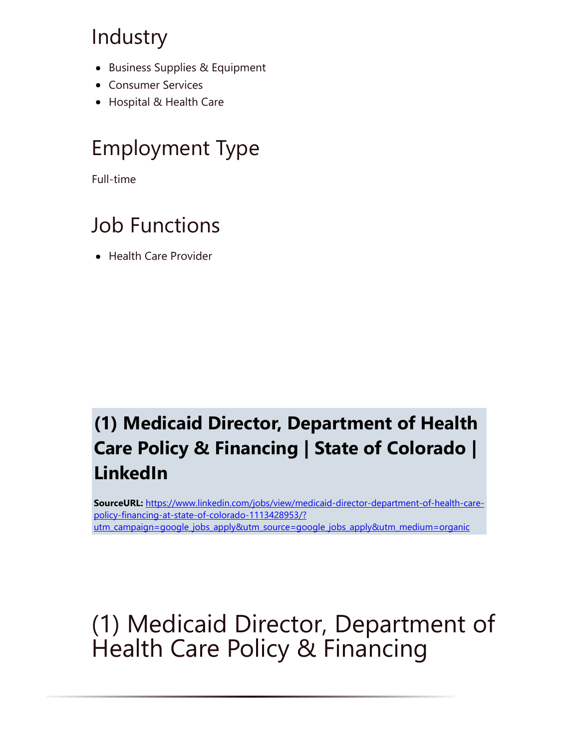### Industry

- Business Supplies & Equipment
- **Consumer Services**
- Hospital & Health Care

### Employment Type

Full-time

### Job Functions

• Health Care Provider

### (1) Medicaid Director, Department of Health Care Policy & Financing | State of Colorado | LinkedIn

SourceURL: https://www.linkedin.com/jobs/view/medicaid-director-department-of-health-carepolicy-financing-at-state-of-colorado-1113428953/? [utm\\_campaign=google\\_jobs\\_apply&utm\\_source=google\\_jobs\\_apply&utm\\_medium=organic](https://www.linkedin.com/jobs/view/medicaid-director-department-of-health-care-policy-financing-at-state-of-colorado-1113428953/?utm_campaign=google_jobs_apply&utm_source=google_jobs_apply&utm_medium=organic)

# (1) Medicaid Director, Department of Health Care Policy & Financing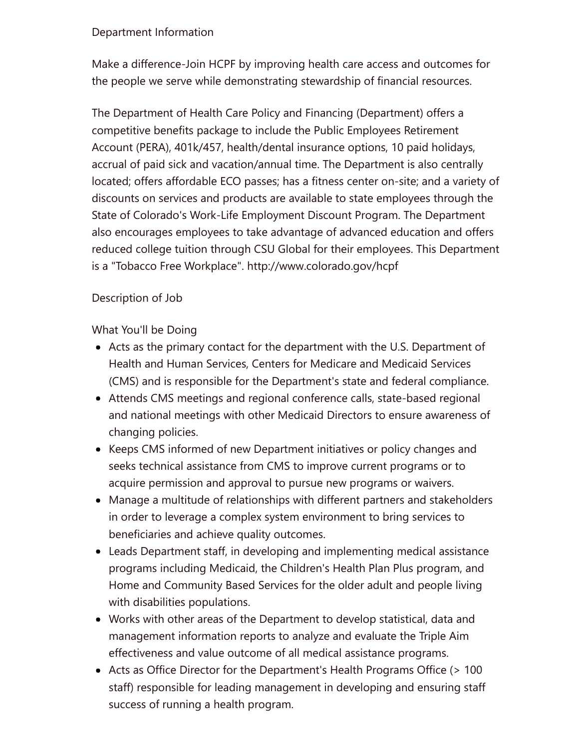#### Department Information

Make a difference-Join HCPF by improving health care access and outcomes for the people we serve while demonstrating stewardship of financial resources.

The Department of Health Care Policy and Financing (Department) offers a competitive benefits package to include the Public Employees Retirement Account (PERA), 401k/457, health/dental insurance options, 10 paid holidays, accrual of paid sick and vacation/annual time. The Department is also centrally located; offers affordable ECO passes; has a fitness center on-site; and a variety of discounts on services and products are available to state employees through the State of Colorado's Work-Life Employment Discount Program. The Department also encourages employees to take advantage of advanced education and offers reduced college tuition through CSU Global for their employees. This Department is a "Tobacco Free Workplace". http://www.colorado.gov/hcpf

#### Description of Job

What You'll be Doing

- Acts as the primary contact for the department with the U.S. Department of Health and Human Services, Centers for Medicare and Medicaid Services (CMS) and is responsible for the Department's state and federal compliance.
- Attends CMS meetings and regional conference calls, state-based regional and national meetings with other Medicaid Directors to ensure awareness of changing policies.
- Keeps CMS informed of new Department initiatives or policy changes and seeks technical assistance from CMS to improve current programs or to acquire permission and approval to pursue new programs or waivers.
- Manage a multitude of relationships with different partners and stakeholders in order to leverage a complex system environment to bring services to beneficiaries and achieve quality outcomes.
- Leads Department staff, in developing and implementing medical assistance programs including Medicaid, the Children's Health Plan Plus program, and Home and Community Based Services for the older adult and people living with disabilities populations.
- Works with other areas of the Department to develop statistical, data and management information reports to analyze and evaluate the Triple Aim effectiveness and value outcome of all medical assistance programs.
- Acts as Office Director for the Department's Health Programs Office (> 100 staff) responsible for leading management in developing and ensuring staff success of running a health program.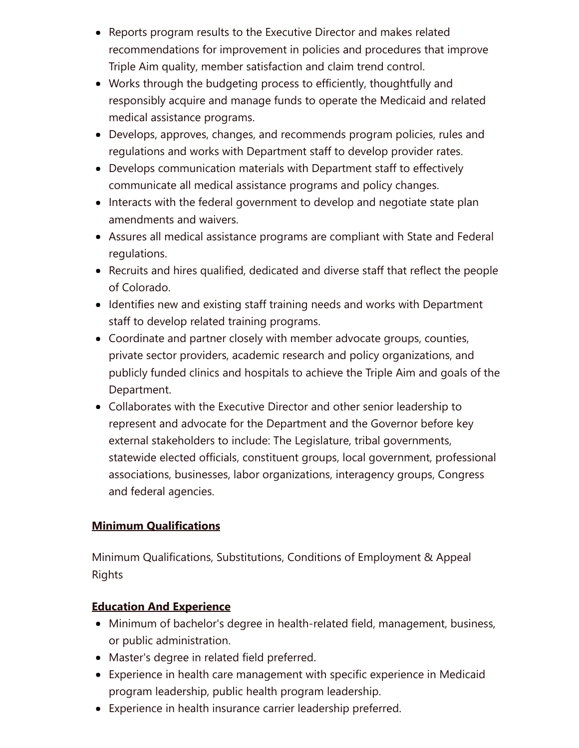- Reports program results to the Executive Director and makes related recommendations for improvement in policies and procedures that improve Triple Aim quality, member satisfaction and claim trend control.
- Works through the budgeting process to efficiently, thoughtfully and responsibly acquire and manage funds to operate the Medicaid and related medical assistance programs.
- Develops, approves, changes, and recommends program policies, rules and regulations and works with Department staff to develop provider rates.
- Develops communication materials with Department staff to effectively communicate all medical assistance programs and policy changes.
- Interacts with the federal government to develop and negotiate state plan amendments and waivers.
- Assures all medical assistance programs are compliant with State and Federal regulations.
- Recruits and hires qualified, dedicated and diverse staff that reflect the people of Colorado.
- Identifies new and existing staff training needs and works with Department staff to develop related training programs.
- Coordinate and partner closely with member advocate groups, counties, private sector providers, academic research and policy organizations, and publicly funded clinics and hospitals to achieve the Triple Aim and goals of the Department.
- Collaborates with the Executive Director and other senior leadership to represent and advocate for the Department and the Governor before key external stakeholders to include: The Legislature, tribal governments, statewide elected officials, constituent groups, local government, professional associations, businesses, labor organizations, interagency groups, Congress and federal agencies.

### **Minimum Qualifications**

Minimum Qualifications, Substitutions, Conditions of Employment & Appeal Rights

### Education And Experience

- Minimum of bachelor's degree in health-related field, management, business, or public administration.
- Master's degree in related field preferred.
- Experience in health care management with specific experience in Medicaid program leadership, public health program leadership.
- Experience in health insurance carrier leadership preferred.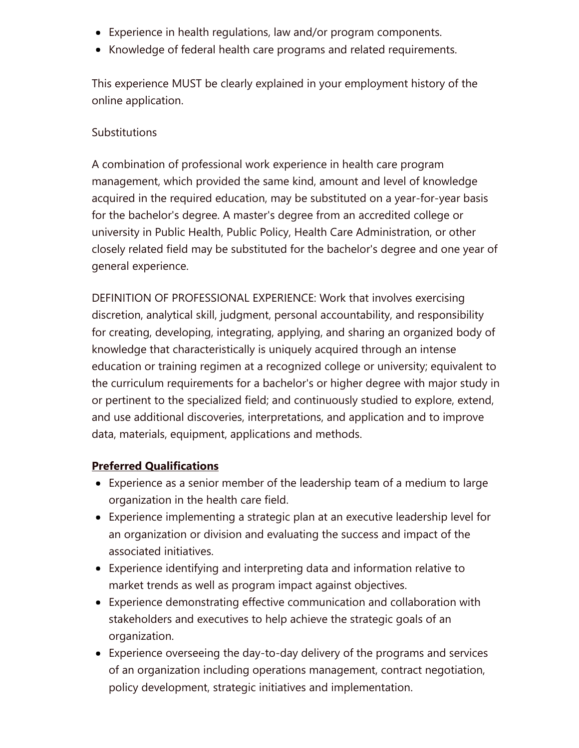- Experience in health regulations, law and/or program components.
- Knowledge of federal health care programs and related requirements.

This experience MUST be clearly explained in your employment history of the online application.

#### **Substitutions**

A combination of professional work experience in health care program management, which provided the same kind, amount and level of knowledge acquired in the required education, may be substituted on a year-for-year basis for the bachelor's degree. A master's degree from an accredited college or university in Public Health, Public Policy, Health Care Administration, or other closely related field may be substituted for the bachelor's degree and one year of general experience.

DEFINITION OF PROFESSIONAL EXPERIENCE: Work that involves exercising discretion, analytical skill, judgment, personal accountability, and responsibility for creating, developing, integrating, applying, and sharing an organized body of knowledge that characteristically is uniquely acquired through an intense education or training regimen at a recognized college or university; equivalent to the curriculum requirements for a bachelor's or higher degree with major study in or pertinent to the specialized field; and continuously studied to explore, extend, and use additional discoveries, interpretations, and application and to improve data, materials, equipment, applications and methods.

### Preferred Qualifications

- Experience as a senior member of the leadership team of a medium to large organization in the health care field.
- Experience implementing a strategic plan at an executive leadership level for an organization or division and evaluating the success and impact of the associated initiatives.
- Experience identifying and interpreting data and information relative to market trends as well as program impact against objectives.
- Experience demonstrating effective communication and collaboration with stakeholders and executives to help achieve the strategic goals of an organization.
- Experience overseeing the day-to-day delivery of the programs and services of an organization including operations management, contract negotiation, policy development, strategic initiatives and implementation.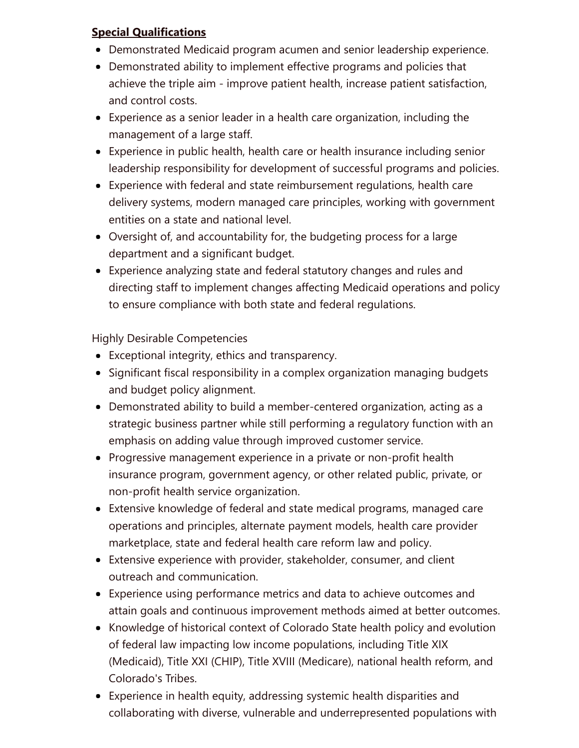### Special Qualifications

- Demonstrated Medicaid program acumen and senior leadership experience.
- Demonstrated ability to implement effective programs and policies that achieve the triple aim - improve patient health, increase patient satisfaction, and control costs.
- Experience as a senior leader in a health care organization, including the management of a large staff.
- Experience in public health, health care or health insurance including senior leadership responsibility for development of successful programs and policies.
- Experience with federal and state reimbursement regulations, health care delivery systems, modern managed care principles, working with government entities on a state and national level.
- Oversight of, and accountability for, the budgeting process for a large department and a significant budget.
- Experience analyzing state and federal statutory changes and rules and directing staff to implement changes affecting Medicaid operations and policy to ensure compliance with both state and federal regulations.

Highly Desirable Competencies

- Exceptional integrity, ethics and transparency.
- Significant fiscal responsibility in a complex organization managing budgets and budget policy alignment.
- Demonstrated ability to build a member-centered organization, acting as a strategic business partner while still performing a regulatory function with an emphasis on adding value through improved customer service.
- Progressive management experience in a private or non-profit health insurance program, government agency, or other related public, private, or non-profit health service organization.
- Extensive knowledge of federal and state medical programs, managed care operations and principles, alternate payment models, health care provider marketplace, state and federal health care reform law and policy.
- Extensive experience with provider, stakeholder, consumer, and client outreach and communication.
- Experience using performance metrics and data to achieve outcomes and attain goals and continuous improvement methods aimed at better outcomes.
- Knowledge of historical context of Colorado State health policy and evolution of federal law impacting low income populations, including Title XIX (Medicaid), Title XXI (CHIP), Title XVIII (Medicare), national health reform, and Colorado's Tribes.
- Experience in health equity, addressing systemic health disparities and collaborating with diverse, vulnerable and underrepresented populations with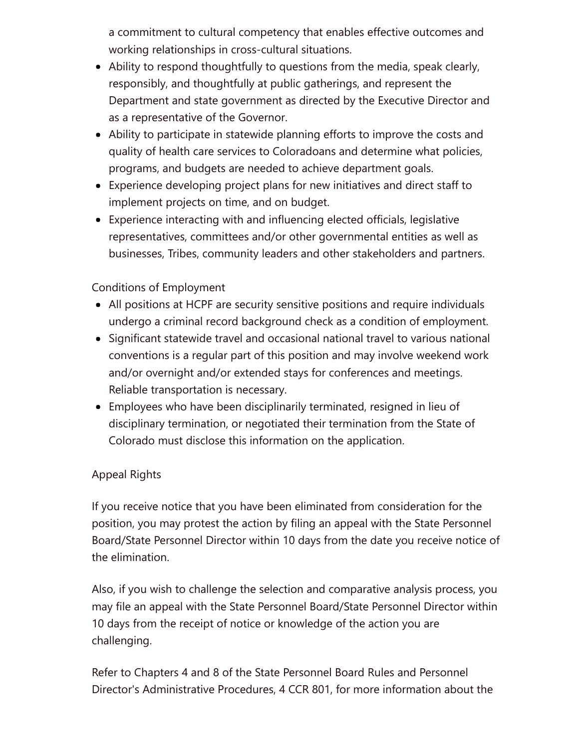a commitment to cultural competency that enables effective outcomes and working relationships in cross-cultural situations.

- Ability to respond thoughtfully to questions from the media, speak clearly, responsibly, and thoughtfully at public gatherings, and represent the Department and state government as directed by the Executive Director and as a representative of the Governor.
- Ability to participate in statewide planning efforts to improve the costs and quality of health care services to Coloradoans and determine what policies, programs, and budgets are needed to achieve department goals.
- Experience developing project plans for new initiatives and direct staff to implement projects on time, and on budget.
- Experience interacting with and influencing elected officials, legislative representatives, committees and/or other governmental entities as well as businesses, Tribes, community leaders and other stakeholders and partners.

#### Conditions of Employment

- All positions at HCPF are security sensitive positions and require individuals undergo a criminal record background check as a condition of employment.
- Significant statewide travel and occasional national travel to various national conventions is a regular part of this position and may involve weekend work and/or overnight and/or extended stays for conferences and meetings. Reliable transportation is necessary.
- Employees who have been disciplinarily terminated, resigned in lieu of disciplinary termination, or negotiated their termination from the State of Colorado must disclose this information on the application.

#### Appeal Rights

If you receive notice that you have been eliminated from consideration for the position, you may protest the action by filing an appeal with the State Personnel Board/State Personnel Director within 10 days from the date you receive notice of the elimination.

Also, if you wish to challenge the selection and comparative analysis process, you may file an appeal with the State Personnel Board/State Personnel Director within 10 days from the receipt of notice or knowledge of the action you are challenging.

Refer to Chapters 4 and 8 of the State Personnel Board Rules and Personnel Director's Administrative Procedures, 4 CCR 801, for more information about the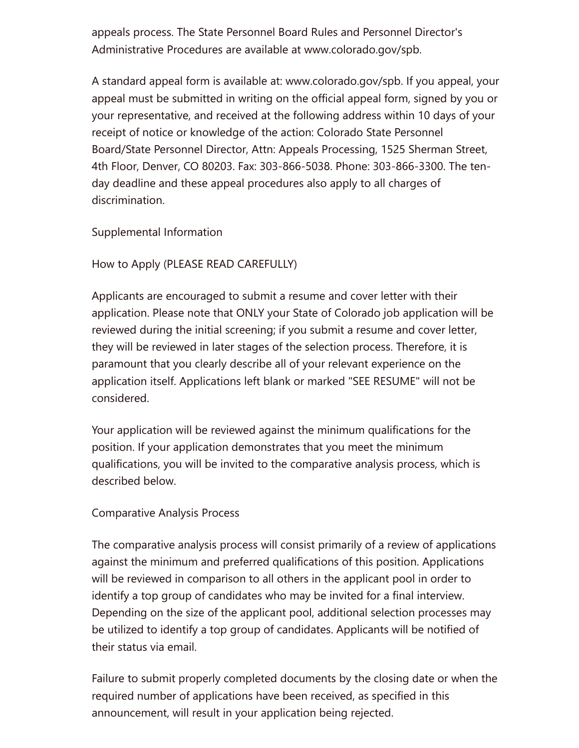appeals process. The State Personnel Board Rules and Personnel Director's Administrative Procedures are available at www.colorado.gov/spb.

A standard appeal form is available at: www.colorado.gov/spb. If you appeal, your appeal must be submitted in writing on the official appeal form, signed by you or your representative, and received at the following address within 10 days of your receipt of notice or knowledge of the action: Colorado State Personnel Board/State Personnel Director, Attn: Appeals Processing, 1525 Sherman Street, 4th Floor, Denver, CO 80203. Fax: 303-866-5038. Phone: 303-866-3300. The tenday deadline and these appeal procedures also apply to all charges of discrimination.

Supplemental Information

How to Apply (PLEASE READ CAREFULLY)

Applicants are encouraged to submit a resume and cover letter with their application. Please note that ONLY your State of Colorado job application will be reviewed during the initial screening; if you submit a resume and cover letter, they will be reviewed in later stages of the selection process. Therefore, it is paramount that you clearly describe all of your relevant experience on the application itself. Applications left blank or marked "SEE RESUME" will not be considered.

Your application will be reviewed against the minimum qualifications for the position. If your application demonstrates that you meet the minimum qualifications, you will be invited to the comparative analysis process, which is described below.

#### Comparative Analysis Process

The comparative analysis process will consist primarily of a review of applications against the minimum and preferred qualifications of this position. Applications will be reviewed in comparison to all others in the applicant pool in order to identify a top group of candidates who may be invited for a final interview. Depending on the size of the applicant pool, additional selection processes may be utilized to identify a top group of candidates. Applicants will be notified of their status via email.

Failure to submit properly completed documents by the closing date or when the required number of applications have been received, as specified in this announcement, will result in your application being rejected.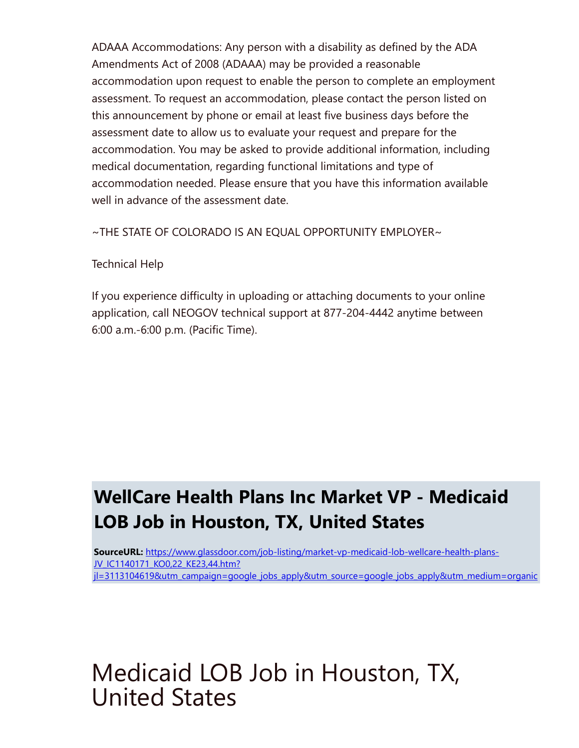ADAAA Accommodations: Any person with a disability as defined by the ADA Amendments Act of 2008 (ADAAA) may be provided a reasonable accommodation upon request to enable the person to complete an employment assessment. To request an accommodation, please contact the person listed on this announcement by phone or email at least five business days before the assessment date to allow us to evaluate your request and prepare for the accommodation. You may be asked to provide additional information, including medical documentation, regarding functional limitations and type of accommodation needed. Please ensure that you have this information available well in advance of the assessment date.

 $\sim$ THE STATE OF COLORADO IS AN EQUAL OPPORTUNITY EMPLOYER $\sim$ 

### Technical Help

If you experience difficulty in uploading or attaching documents to your online application, call NEOGOV technical support at 877-204-4442 anytime between 6:00 a.m.-6:00 p.m. (Pacific Time).

### WellCare Health Plans Inc Market VP - Medicaid LOB Job in Houston, TX, United States

SourceURL: https://www.glassdoor.com/job-listing/market-vp-medicaid-lob-wellcare-health-plans-JV\_IC1140171\_KO0,22\_KE23,44.htm? [jl=3113104619&utm\\_campaign=google\\_jobs\\_apply&utm\\_source=google\\_jobs\\_apply&utm\\_medium=organic](https://www.glassdoor.com/job-listing/market-vp-medicaid-lob-wellcare-health-plans-JV_IC1140171_KO0,22_KE23,44.htm?jl=3113104619&utm_campaign=google_jobs_apply&utm_source=google_jobs_apply&utm_medium=organic)

# Medicaid LOB Job in Houston, TX, United States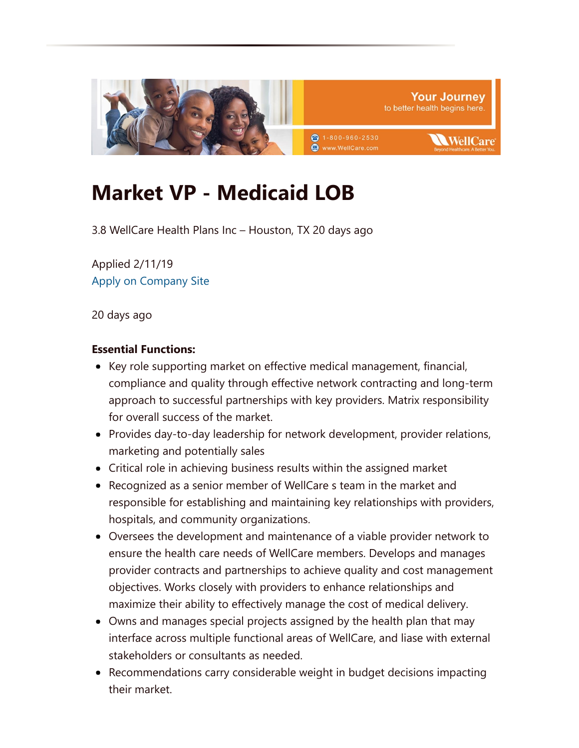

### Market VP - Medicaid LOB

3.8 WellCare Health Plans Inc – Houston, TX 20 days ago

Applied 2/11/19 [Apply on Company Site](https://www.glassdoor.com/partner/jobListing.htm?pos=101&ao=452197&s=321&guid=00000168dd3eb98bb8376da29bf659e5&src=GD_JOB_VIEW&t=NS&vt=w&slr=true&cs=1_875d3695&cb=1549900102053&jobListingId=3113104619)

20 days ago

#### Essential Functions:

- Key role supporting market on effective medical management, financial, compliance and quality through effective network contracting and long-term approach to successful partnerships with key providers. Matrix responsibility for overall success of the market.
- Provides day-to-day leadership for network development, provider relations, marketing and potentially sales
- Critical role in achieving business results within the assigned market
- Recognized as a senior member of WellCare s team in the market and responsible for establishing and maintaining key relationships with providers, hospitals, and community organizations.
- Oversees the development and maintenance of a viable provider network to ensure the health care needs of WellCare members. Develops and manages provider contracts and partnerships to achieve quality and cost management objectives. Works closely with providers to enhance relationships and maximize their ability to effectively manage the cost of medical delivery.
- Owns and manages special projects assigned by the health plan that may interface across multiple functional areas of WellCare, and liase with external stakeholders or consultants as needed.
- Recommendations carry considerable weight in budget decisions impacting their market.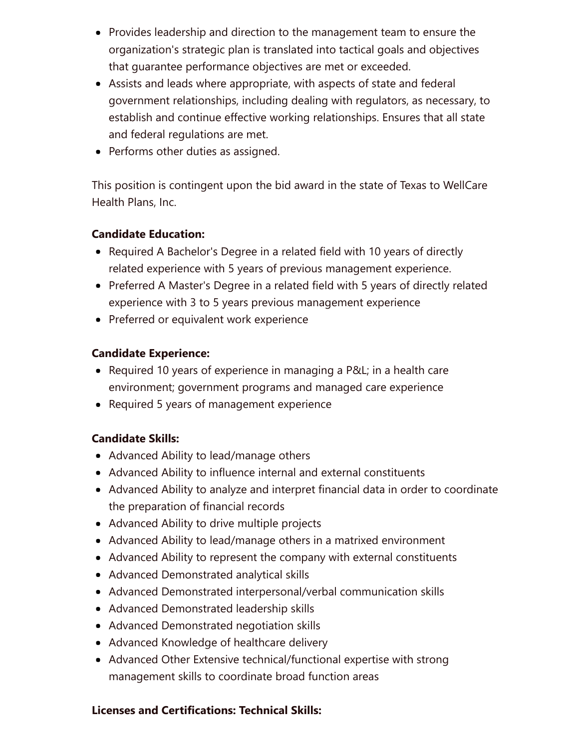- Provides leadership and direction to the management team to ensure the organization's strategic plan is translated into tactical goals and objectives that guarantee performance objectives are met or exceeded.
- Assists and leads where appropriate, with aspects of state and federal government relationships, including dealing with regulators, as necessary, to establish and continue effective working relationships. Ensures that all state and federal regulations are met.
- Performs other duties as assigned.

This position is contingent upon the bid award in the state of Texas to WellCare Health Plans, Inc.

#### Candidate Education:

- Required A Bachelor's Degree in a related field with 10 years of directly related experience with 5 years of previous management experience.
- Preferred A Master's Degree in a related field with 5 years of directly related experience with 3 to 5 years previous management experience
- Preferred or equivalent work experience

#### Candidate Experience:

- Required 10 years of experience in managing a P&L; in a health care environment; government programs and managed care experience
- Required 5 years of management experience

### Candidate Skills:

- Advanced Ability to lead/manage others
- Advanced Ability to influence internal and external constituents
- Advanced Ability to analyze and interpret financial data in order to coordinate the preparation of financial records
- Advanced Ability to drive multiple projects
- Advanced Ability to lead/manage others in a matrixed environment
- Advanced Ability to represent the company with external constituents
- Advanced Demonstrated analytical skills
- Advanced Demonstrated interpersonal/verbal communication skills
- Advanced Demonstrated leadership skills
- Advanced Demonstrated negotiation skills
- Advanced Knowledge of healthcare delivery
- Advanced Other Extensive technical/functional expertise with strong management skills to coordinate broad function areas

### Licenses and Certifications: Technical Skills: